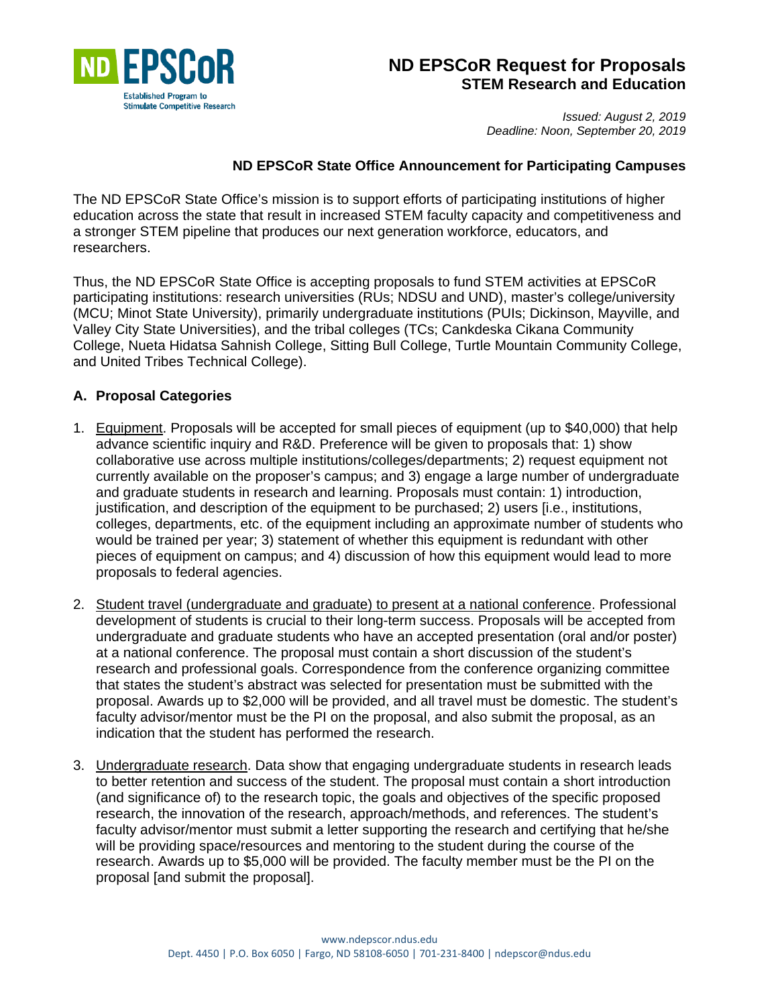

# **ND EPSCoR Request for Proposals STEM Research and Education**

*Issued: August 2, 2019 Deadline: Noon, September 20, 2019*

#### **ND EPSCoR State Office Announcement for Participating Campuses**

The ND EPSCoR State Office's mission is to support efforts of participating institutions of higher education across the state that result in increased STEM faculty capacity and competitiveness and a stronger STEM pipeline that produces our next generation workforce, educators, and researchers.

Thus, the ND EPSCoR State Office is accepting proposals to fund STEM activities at EPSCoR participating institutions: research universities (RUs; NDSU and UND), master's college/university (MCU; Minot State University), primarily undergraduate institutions (PUIs; Dickinson, Mayville, and Valley City State Universities), and the tribal colleges (TCs; Cankdeska Cikana Community College, Nueta Hidatsa Sahnish College, Sitting Bull College, Turtle Mountain Community College, and United Tribes Technical College).

#### **A. Proposal Categories**

- 1. Equipment. Proposals will be accepted for small pieces of equipment (up to \$40,000) that help advance scientific inquiry and R&D. Preference will be given to proposals that: 1) show collaborative use across multiple institutions/colleges/departments; 2) request equipment not currently available on the proposer's campus; and 3) engage a large number of undergraduate and graduate students in research and learning. Proposals must contain: 1) introduction, justification, and description of the equipment to be purchased; 2) users [i.e., institutions, colleges, departments, etc. of the equipment including an approximate number of students who would be trained per year; 3) statement of whether this equipment is redundant with other pieces of equipment on campus; and 4) discussion of how this equipment would lead to more proposals to federal agencies.
- 2. Student travel (undergraduate and graduate) to present at a national conference. Professional development of students is crucial to their long-term success. Proposals will be accepted from undergraduate and graduate students who have an accepted presentation (oral and/or poster) at a national conference. The proposal must contain a short discussion of the student's research and professional goals. Correspondence from the conference organizing committee that states the student's abstract was selected for presentation must be submitted with the proposal. Awards up to \$2,000 will be provided, and all travel must be domestic. The student's faculty advisor/mentor must be the PI on the proposal, and also submit the proposal, as an indication that the student has performed the research.
- 3. Undergraduate research. Data show that engaging undergraduate students in research leads to better retention and success of the student. The proposal must contain a short introduction (and significance of) to the research topic, the goals and objectives of the specific proposed research, the innovation of the research, approach/methods, and references. The student's faculty advisor/mentor must submit a letter supporting the research and certifying that he/she will be providing space/resources and mentoring to the student during the course of the research. Awards up to \$5,000 will be provided. The faculty member must be the PI on the proposal [and submit the proposal].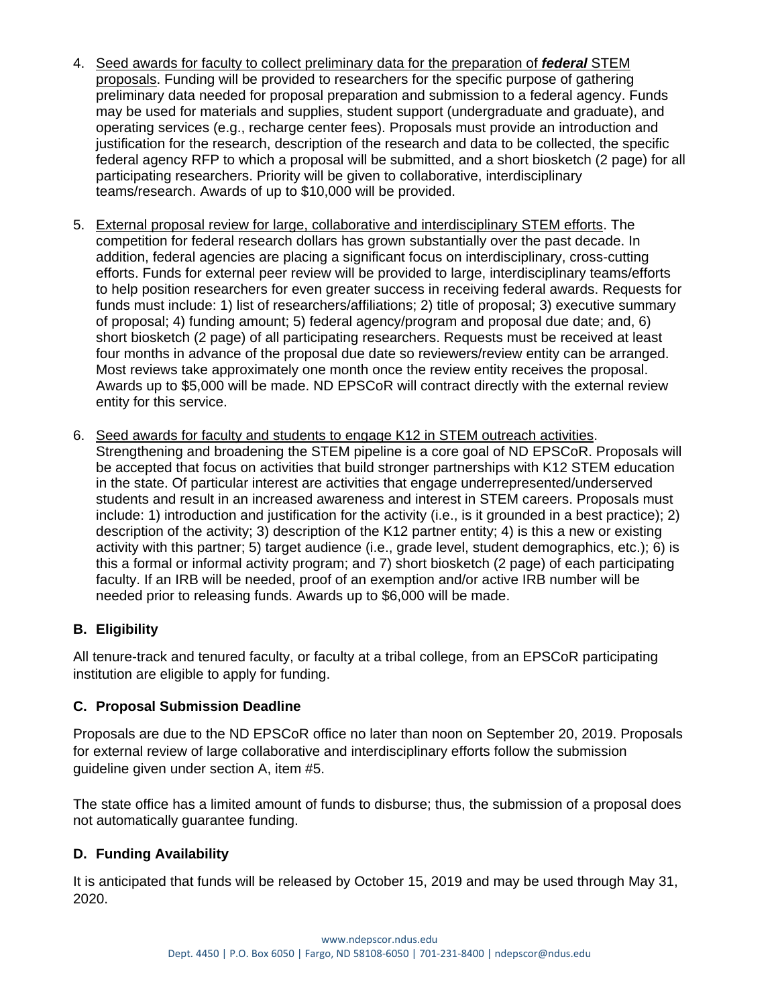- 4. Seed awards for faculty to collect preliminary data for the preparation of *federal* STEM proposals. Funding will be provided to researchers for the specific purpose of gathering preliminary data needed for proposal preparation and submission to a federal agency. Funds may be used for materials and supplies, student support (undergraduate and graduate), and operating services (e.g., recharge center fees). Proposals must provide an introduction and justification for the research, description of the research and data to be collected, the specific federal agency RFP to which a proposal will be submitted, and a short biosketch (2 page) for all participating researchers. Priority will be given to collaborative, interdisciplinary teams/research. Awards of up to \$10,000 will be provided.
- 5. External proposal review for large, collaborative and interdisciplinary STEM efforts. The competition for federal research dollars has grown substantially over the past decade. In addition, federal agencies are placing a significant focus on interdisciplinary, cross-cutting efforts. Funds for external peer review will be provided to large, interdisciplinary teams/efforts to help position researchers for even greater success in receiving federal awards. Requests for funds must include: 1) list of researchers/affiliations; 2) title of proposal; 3) executive summary of proposal; 4) funding amount; 5) federal agency/program and proposal due date; and, 6) short biosketch (2 page) of all participating researchers. Requests must be received at least four months in advance of the proposal due date so reviewers/review entity can be arranged. Most reviews take approximately one month once the review entity receives the proposal. Awards up to \$5,000 will be made. ND EPSCoR will contract directly with the external review entity for this service.
- 6. Seed awards for faculty and students to engage K12 in STEM outreach activities. Strengthening and broadening the STEM pipeline is a core goal of ND EPSCoR. Proposals will be accepted that focus on activities that build stronger partnerships with K12 STEM education in the state. Of particular interest are activities that engage underrepresented/underserved students and result in an increased awareness and interest in STEM careers. Proposals must include: 1) introduction and justification for the activity (i.e., is it grounded in a best practice); 2) description of the activity; 3) description of the K12 partner entity; 4) is this a new or existing activity with this partner; 5) target audience (i.e., grade level, student demographics, etc.); 6) is this a formal or informal activity program; and 7) short biosketch (2 page) of each participating faculty. If an IRB will be needed, proof of an exemption and/or active IRB number will be needed prior to releasing funds. Awards up to \$6,000 will be made.

## **B. Eligibility**

All tenure-track and tenured faculty, or faculty at a tribal college, from an EPSCoR participating institution are eligible to apply for funding.

## **C. Proposal Submission Deadline**

Proposals are due to the ND EPSCoR office no later than noon on September 20, 2019. Proposals for external review of large collaborative and interdisciplinary efforts follow the submission guideline given under section A, item #5.

The state office has a limited amount of funds to disburse; thus, the submission of a proposal does not automatically guarantee funding.

## **D. Funding Availability**

It is anticipated that funds will be released by October 15, 2019 and may be used through May 31, 2020.